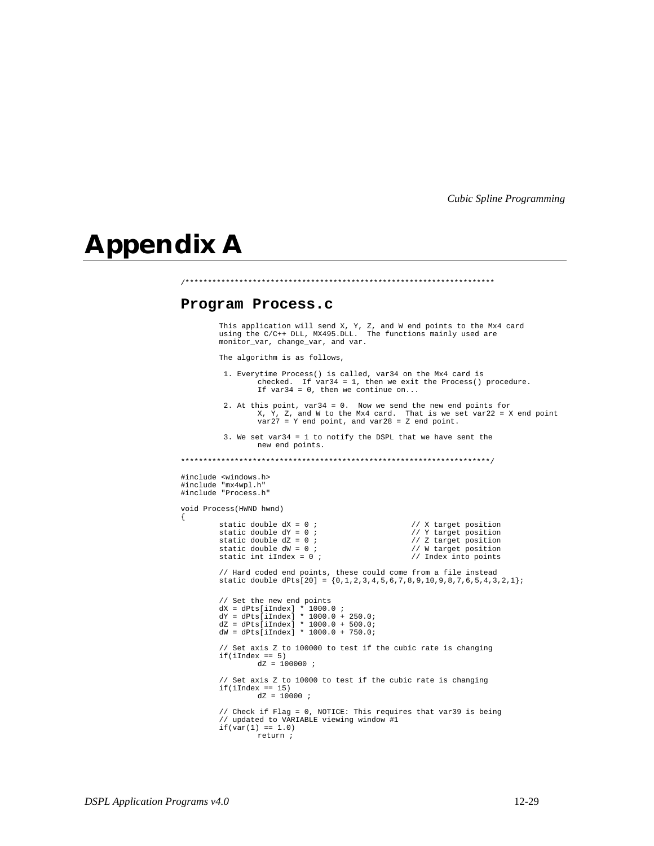## **Appendix A**

{

## **Program Process.c**

This application will send X, Y, Z, and W end points to the Mx4 card using the C/C++ DLL, MX495.DLL. The functions mainly used are monitor\_var, change\_var, and var.

/\*\*\*\*\*\*\*\*\*\*\*\*\*\*\*\*\*\*\*\*\*\*\*\*\*\*\*\*\*\*\*\*\*\*\*\*\*\*\*\*\*\*\*\*\*\*\*\*\*\*\*\*\*\*\*\*\*\*\*\*\*\*\*\*\*\*\*\*\*

The algorithm is as follows,

 1. Everytime Process() is called, var34 on the Mx4 card is checked. If var34 = 1, then we exit the Process() procedure. If var34 = 0, then we continue on... 2. At this point, var34 = 0. Now we send the new end points for X, Y, Z, and W to the Mx4 card. That is we set var22 = X end point var27 = Y end point, and var28 = Z end point. 3. We set var34 = 1 to notify the DSPL that we have sent the new end points. \*\*\*\*\*\*\*\*\*\*\*\*\*\*\*\*\*\*\*\*\*\*\*\*\*\*\*\*\*\*\*\*\*\*\*\*\*\*\*\*\*\*\*\*\*\*\*\*\*\*\*\*\*\*\*\*\*\*\*\*\*\*\*\*\*\*\*\*\*/ #include <windows.h> #include "mx4wpl.h" #include "Process.h" void Process(HWND hwnd) static double dX = 0 ;<br>static double dY = 0 ;<br>// Y target position static double dY = 0 ;<br>static double dZ = 0 ;<br>// Z target position static double  $dZ = 0$  ;<br>static double  $dW = 0$  ; static double  $dW = 0$ ;<br>static int iIndex = 0;<br>// Index into points // Index into points // Hard coded end points, these could come from a file instead static double dPts[20] = {0,1,2,3,4,5,6,7,8,9,10,9,8,7,6,5,4,3,2,1}; // Set the new end points dX = dPts[iIndex] \* 1000.0 ; dY = dPts[iIndex] \* 1000.0 + 250.0; dZ = dPts[iIndex] \* 1000.0 + 500.0; dW = dPts[iIndex] \* 1000.0 + 750.0; // Set axis Z to 100000 to test if the cubic rate is changing if(iIndex == 5)  $dz = 100000$  ; // Set axis Z to 10000 to test if the cubic rate is changing  $if(iIndex == 15)$  $dz = 10000$  ; // Check if Flag = 0, NOTICE: This requires that var39 is being // updated to VARIABLE viewing window #1  $if(var(1) == 1.0)$ return ;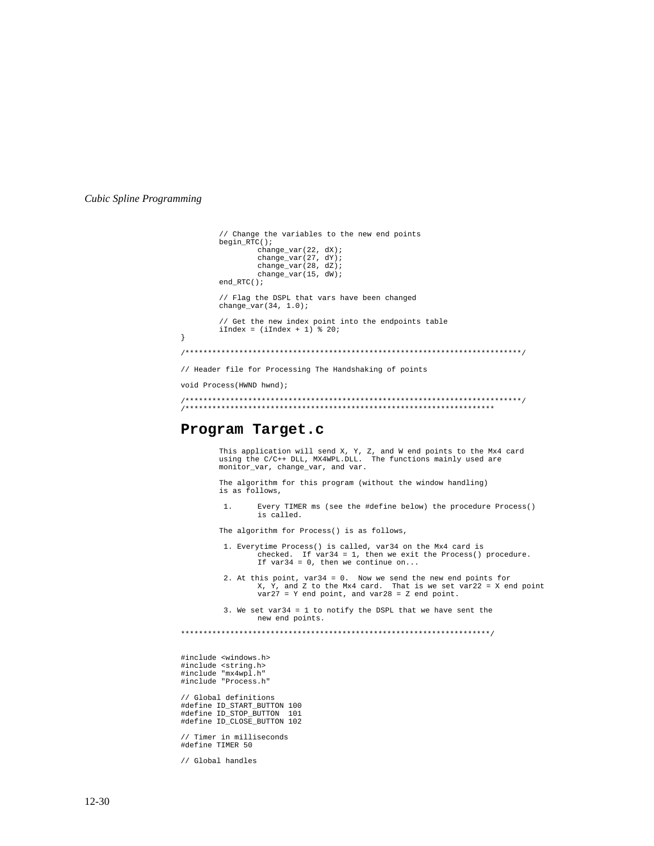```
// Change the variables to the new end points
     beginpmb{r} ();
           change\_var(22, dx);change\_var(27, dY);change_var(28, dZ);<br>change_var(15, dW);
     end_RTC();
     // Flag the DSPL that vars have been changed
     change\_var(34, 1.0);// Get the new index point into the endpoints table
     iIndex = (iIndex + 1) % 20;
\mathcal{E}// Header file for Processing The Handshaking of points
void Process (HWND hwnd);
```
## Program Target.c

This application will send X, Y, Z, and W end points to the Mx4 card using the C/C++ DLL, MX4WPL.DLL. The functions mainly used are monitor\_var, change\_var, and var.

The algorithm for this program (without the window handling) is as follows,

 $1.$ Every TIMER ms (see the #define below) the procedure Process() is called.

The algorithm for Process() is as follows,

- 1. Everytime Process() is called, var34 on the Mx4 card is checked. If  $var34 = 1$ , then we exit the Process() procedure.<br>If  $var34 = 0$ , then we continue on...
- 2. At this point,  $var34 = 0$ . Now we send the new end points for  $X$ ,  $Y$ , and  $Z$  to the Mx4 card. That is we set  $var22 = X$  end point  $var27 = Y$  end point, and  $var28 = Z$  end point.

3. We set var34 = 1 to notify the DSPL that we have sent the new end points.

#include <windows.h> #include <string.h> #include "mx4wpl.h"<br>#include "Process.h"

// Global definitions #define ID\_START\_BUTTON 100<br>#define ID\_START\_BUTTON 100 #define ID\_CLOSE\_BUTTON 102

// Timer in milliseconds<br>#define TIMER 50

// Global handles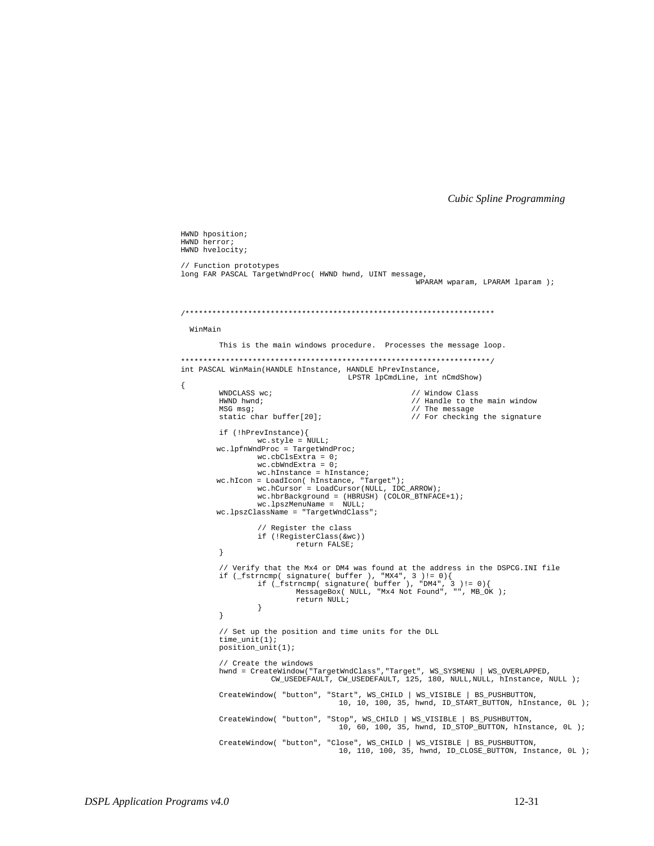HWND hposition; HWND herror; HWND hvelocity; // Function prototypes long FAR PASCAL TargetWndProc( HWND hwnd, UINT message, WPARAM wparam, LPARAM lparam ); WinMain This is the main windows procedure. Processes the message loop. int PASCAL WinMain(HANDLE hInstance, HANDLE hPrevInstance, LPSTR lpCmdLine, int nCmdShow) WNDCLASS wc; // Window Class HWND hwnd; // Handle to the main window MSG msg; // The message static char buffer[20]; // For checking the signature if (!hPrevInstance){  $\begin{array}{rcl} \texttt{tr} & (\texttt{interdistance}) \\ & \texttt{wc}.\texttt{style} = \texttt{NULL} \\ \texttt{wc}.\texttt{lpfnmdProc} = \texttt{TargetWndProc} \end{array}$  $wc.cbClsExtra = 0;$  $\verb|wc.cbWndExtra| = 0|;$  $wc.hInstance = hInstance;$ wc.hIcon = LoadIcon( hInstance, "Target");<br>wc.hCursor = LoadCursor(NULL, IDC\_ARROW);  $\text{wc.hbrBackground} = (\text{HBRUSH}) (\text{COLOR\_BTNFACE+1});$ <br>  $\text{wc.hbrBackground} = (\text{HBRUSH}) (\text{COLOR\_BTNFACE+1});$ <br>  $\text{wc.hpszMenuName} = \text{NULL};$ wc.lpszClassName = "TargetWndClass"; // Register the class if (!RegisterClass(&wc)) return FALSE;  $\rightarrow$ // Verify that the Mx4 or DM4 was found at the address in the DSPCG. INI file %// Verliy und the max of Duffer ), "MX4", 3 )!= 0 ){<br>if (\_fstrncmp( signature( buffer ), "MX4", 3 )!= 0 ){<br>if (\_fstrncmp( signature( buffer ), "DM4", 3 )!= 0 ){<br>MessageBox( NULL, "Mx4 Not Found", "", MB\_OK ); return NULL;  $\}$  $\}$ // Set up the position and time units for the DLL  $time\_unit(1)$  $position\_unit(1)$ ; // Create the windows hwnd = CreateWindow("TargetWndClass", "Target", WS\_SYSMENU | WS\_OVERLAPPED, CW\_USEDEFAULT, CW\_USEDEFAULT, 125, 180, NULL, NULL, hInstance, NULL );  $\texttt{CreateWindow( "button", "Start", WS\_CHTML} \mid WS\_VISIBLE \mid BS\_PUSIBUTTON, \texttt{10, 10, 10, 100, 35, hwnd, ID\_START\_BUTTON, hInstance, 0L });$  $\texttt{CreateWindow( "button", "Stop", WS\_CHILD | WS\_VISIBLE | BS\_PUSHBUTTON, \texttt{01, 01, 60, 100, 35, hwnd, ID\_STOP\_BUTTON, hInstance, 0L });}$  $\texttt{CreateWindow( "button", "Close", WS\_CHILD | WS\_VISIBLE | BS\_PUSHBUTTON, \n 10, 110, 100, 35, hwnd, ID\_CLOSE\_BUTTON, \n Instantce, 0L ); }$ 

 $\{$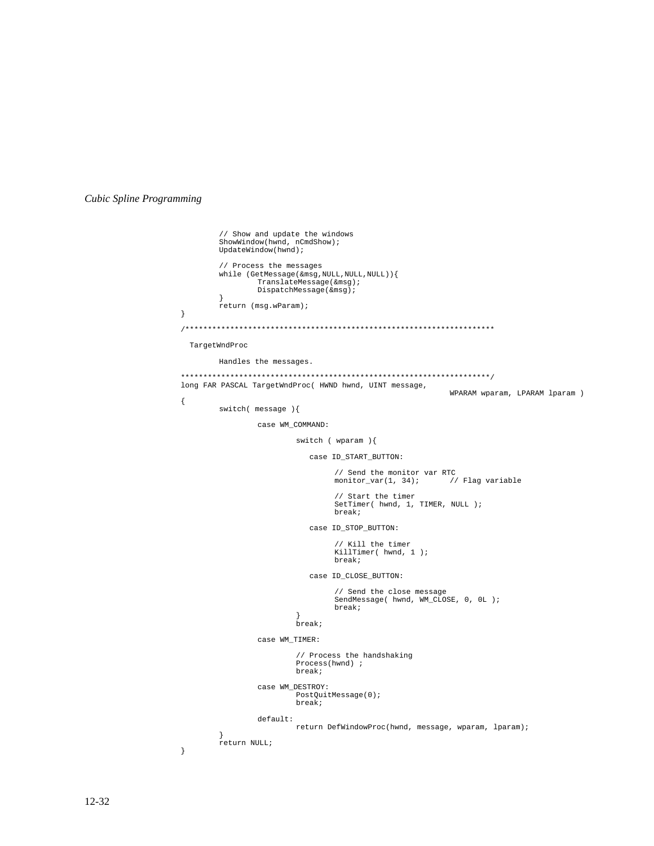```
// Show and update the windows
         ShowWindow(hwnd, nCmdShow);
         UpdateWindow(hwnd);
         // Process the messages
         while (GetMessage(&msg,NULL,NULL,NULL)){
TranslateMessage(&msg);
                  DispatchMessage(&msg);
         }
         return (msg.wParam);
}
/*********************************************************************
  TargetWndProc
        Handles the messages.
*********************************************************************/
long FAR PASCAL TargetWndProc( HWND hwnd, UINT message,
                                                                 WPARAM wparam, LPARAM lparam )
{
         switch( message ){
                  case WM_COMMAND:
                           switch ( wparam ){
                                case ID_START_BUTTON:
                                     // Send the monitor var RTC
monitor_var(1, 34); // Flag variable
                                     // Start the timer
                                     SetTimer( hwnd, 1, TIMER, NULL );
                                     break;
                                case ID_STOP_BUTTON:
                                     // Kill the timer
                                     KillTimer( hwnd, 1 );
                                     break;
                                case ID_CLOSE_BUTTON:
                                     // Send the close message
                                     SendMessage( hwnd, WM_CLOSE, 0, 0L );
                                     break;
                            }
break;
                  case WM_TIMER:
                            // Process the handshaking
Process(hwnd) ;
                           break;
                  case WM_DESTROY:
                           PostQuitMessage(0);
                           break;
                  default:
                           return DefWindowProc(hwnd, message, wparam, lparam);
         }
return NULL;
}
```